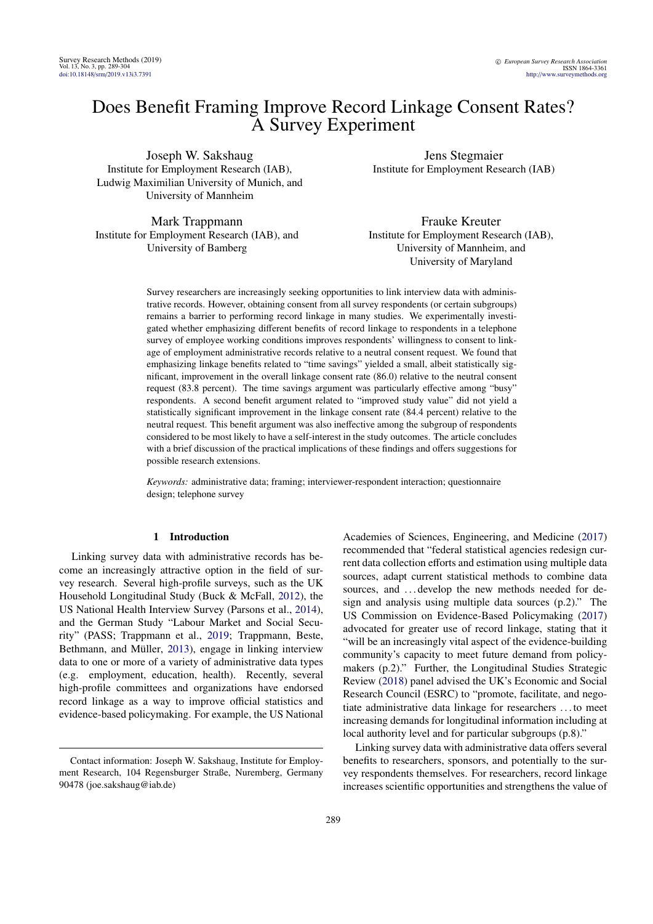# Does Benefit Framing Improve Record Linkage Consent Rates? A Survey Experiment

Joseph W. Sakshaug Institute for Employment Research (IAB), Ludwig Maximilian University of Munich, and University of Mannheim

Mark Trappmann Institute for Employment Research (IAB), and University of Bamberg

Jens Stegmaier Institute for Employment Research (IAB)

Frauke Kreuter Institute for Employment Research (IAB), University of Mannheim, and University of Maryland

Survey researchers are increasingly seeking opportunities to link interview data with administrative records. However, obtaining consent from all survey respondents (or certain subgroups) remains a barrier to performing record linkage in many studies. We experimentally investigated whether emphasizing different benefits of record linkage to respondents in a telephone survey of employee working conditions improves respondents' willingness to consent to linkage of employment administrative records relative to a neutral consent request. We found that emphasizing linkage benefits related to "time savings" yielded a small, albeit statistically significant, improvement in the overall linkage consent rate (86.0) relative to the neutral consent request (83.8 percent). The time savings argument was particularly effective among "busy" respondents. A second benefit argument related to "improved study value" did not yield a statistically significant improvement in the linkage consent rate (84.4 percent) relative to the neutral request. This benefit argument was also ineffective among the subgroup of respondents considered to be most likely to have a self-interest in the study outcomes. The article concludes with a brief discussion of the practical implications of these findings and offers suggestions for possible research extensions.

*Keywords:* administrative data; framing; interviewer-respondent interaction; questionnaire design; telephone survey

### 1 Introduction

Linking survey data with administrative records has become an increasingly attractive option in the field of survey research. Several high-profile surveys, such as the UK Household Longitudinal Study (Buck & McFall, [2012\)](#page-9-0), the US National Health Interview Survey (Parsons et al., [2014\)](#page-10-0), and the German Study "Labour Market and Social Security" (PASS; Trappmann et al., [2019;](#page-10-1) Trappmann, Beste, Bethmann, and Müller, [2013\)](#page-10-2), engage in linking interview data to one or more of a variety of administrative data types (e.g. employment, education, health). Recently, several high-profile committees and organizations have endorsed record linkage as a way to improve official statistics and evidence-based policymaking. For example, the US National

Academies of Sciences, Engineering, and Medicine [\(2017\)](#page-11-0) recommended that "federal statistical agencies redesign current data collection efforts and estimation using multiple data sources, adapt current statistical methods to combine data sources, and ... develop the new methods needed for design and analysis using multiple data sources (p.2)." The US Commission on Evidence-Based Policymaking [\(2017\)](#page-10-3) advocated for greater use of record linkage, stating that it "will be an increasingly vital aspect of the evidence-building community's capacity to meet future demand from policymakers (p.2)." Further, the Longitudinal Studies Strategic Review [\(2018\)](#page-10-4) panel advised the UK's Economic and Social Research Council (ESRC) to "promote, facilitate, and negotiate administrative data linkage for researchers . . . to meet increasing demands for longitudinal information including at local authority level and for particular subgroups (p.8)."

Linking survey data with administrative data offers several benefits to researchers, sponsors, and potentially to the survey respondents themselves. For researchers, record linkage increases scientific opportunities and strengthens the value of

Contact information: Joseph W. Sakshaug, Institute for Employment Research, 104 Regensburger Straße, Nuremberg, Germany 90478 (joe.sakshaug@iab.de)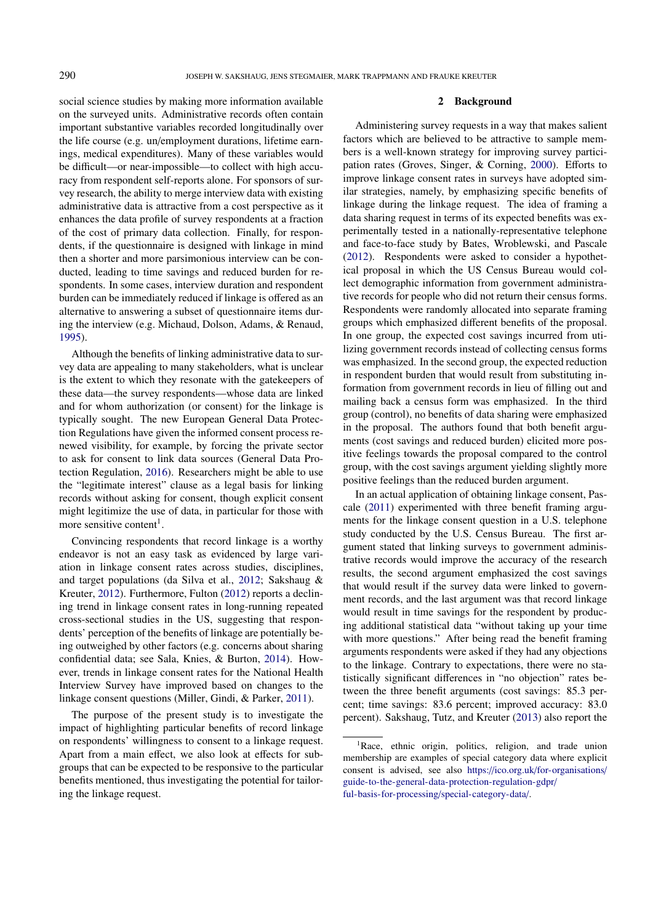social science studies by making more information available on the surveyed units. Administrative records often contain important substantive variables recorded longitudinally over the life course (e.g. un/employment durations, lifetime earnings, medical expenditures). Many of these variables would be difficult—or near-impossible—to collect with high accuracy from respondent self-reports alone. For sponsors of survey research, the ability to merge interview data with existing administrative data is attractive from a cost perspective as it enhances the data profile of survey respondents at a fraction of the cost of primary data collection. Finally, for respondents, if the questionnaire is designed with linkage in mind then a shorter and more parsimonious interview can be conducted, leading to time savings and reduced burden for respondents. In some cases, interview duration and respondent burden can be immediately reduced if linkage is offered as an alternative to answering a subset of questionnaire items during the interview (e.g. Michaud, Dolson, Adams, & Renaud, [1995\)](#page-10-5).

Although the benefits of linking administrative data to survey data are appealing to many stakeholders, what is unclear is the extent to which they resonate with the gatekeepers of these data—the survey respondents—whose data are linked and for whom authorization (or consent) for the linkage is typically sought. The new European General Data Protection Regulations have given the informed consent process renewed visibility, for example, by forcing the private sector to ask for consent to link data sources (General Data Protection Regulation, [2016\)](#page-9-1). Researchers might be able to use the "legitimate interest" clause as a legal basis for linking records without asking for consent, though explicit consent might legitimize the use of data, in particular for those with more sensitive content<sup>[1](#page-1-0)</sup>.

Convincing respondents that record linkage is a worthy endeavor is not an easy task as evidenced by large variation in linkage consent rates across studies, disciplines, and target populations (da Silva et al., [2012;](#page-9-2) Sakshaug & Kreuter, [2012\)](#page-10-6). Furthermore, Fulton [\(2012\)](#page-9-3) reports a declining trend in linkage consent rates in long-running repeated cross-sectional studies in the US, suggesting that respondents' perception of the benefits of linkage are potentially being outweighed by other factors (e.g. concerns about sharing confidential data; see Sala, Knies, & Burton, [2014\)](#page-10-7). However, trends in linkage consent rates for the National Health Interview Survey have improved based on changes to the linkage consent questions (Miller, Gindi, & Parker, [2011\)](#page-10-8).

The purpose of the present study is to investigate the impact of highlighting particular benefits of record linkage on respondents' willingness to consent to a linkage request. Apart from a main effect, we also look at effects for subgroups that can be expected to be responsive to the particular benefits mentioned, thus investigating the potential for tailoring the linkage request.

### 2 Background

Administering survey requests in a way that makes salient factors which are believed to be attractive to sample members is a well-known strategy for improving survey participation rates (Groves, Singer, & Corning, [2000\)](#page-10-9). Efforts to improve linkage consent rates in surveys have adopted similar strategies, namely, by emphasizing specific benefits of linkage during the linkage request. The idea of framing a data sharing request in terms of its expected benefits was experimentally tested in a nationally-representative telephone and face-to-face study by Bates, Wroblewski, and Pascale [\(2012\)](#page-9-4). Respondents were asked to consider a hypothetical proposal in which the US Census Bureau would collect demographic information from government administrative records for people who did not return their census forms. Respondents were randomly allocated into separate framing groups which emphasized different benefits of the proposal. In one group, the expected cost savings incurred from utilizing government records instead of collecting census forms was emphasized. In the second group, the expected reduction in respondent burden that would result from substituting information from government records in lieu of filling out and mailing back a census form was emphasized. In the third group (control), no benefits of data sharing were emphasized in the proposal. The authors found that both benefit arguments (cost savings and reduced burden) elicited more positive feelings towards the proposal compared to the control group, with the cost savings argument yielding slightly more positive feelings than the reduced burden argument.

In an actual application of obtaining linkage consent, Pascale [\(2011\)](#page-10-10) experimented with three benefit framing arguments for the linkage consent question in a U.S. telephone study conducted by the U.S. Census Bureau. The first argument stated that linking surveys to government administrative records would improve the accuracy of the research results, the second argument emphasized the cost savings that would result if the survey data were linked to government records, and the last argument was that record linkage would result in time savings for the respondent by producing additional statistical data "without taking up your time with more questions." After being read the benefit framing arguments respondents were asked if they had any objections to the linkage. Contrary to expectations, there were no statistically significant differences in "no objection" rates between the three benefit arguments (cost savings: 85.3 percent; time savings: 83.6 percent; improved accuracy: 83.0 percent). Sakshaug, Tutz, and Kreuter [\(2013\)](#page-10-11) also report the

<span id="page-1-0"></span><sup>&</sup>lt;sup>1</sup>Race, ethnic origin, politics, religion, and trade union membership are examples of special category data where explicit consent is advised, see also https://ico.org.uk/[for-organisations](https://ico.org.uk/for-organisations/guide-to-the-general-data-protection-regulation-gdpr/ful-basis-for-processing/special-category-data/)/ [guide-to-the-general-data-protection-regulation-gdpr](https://ico.org.uk/for-organisations/guide-to-the-general-data-protection-regulation-gdpr/ful-basis-for-processing/special-category-data/)/ [ful-basis-for-processing](https://ico.org.uk/for-organisations/guide-to-the-general-data-protection-regulation-gdpr/ful-basis-for-processing/special-category-data/)/special-category-data/.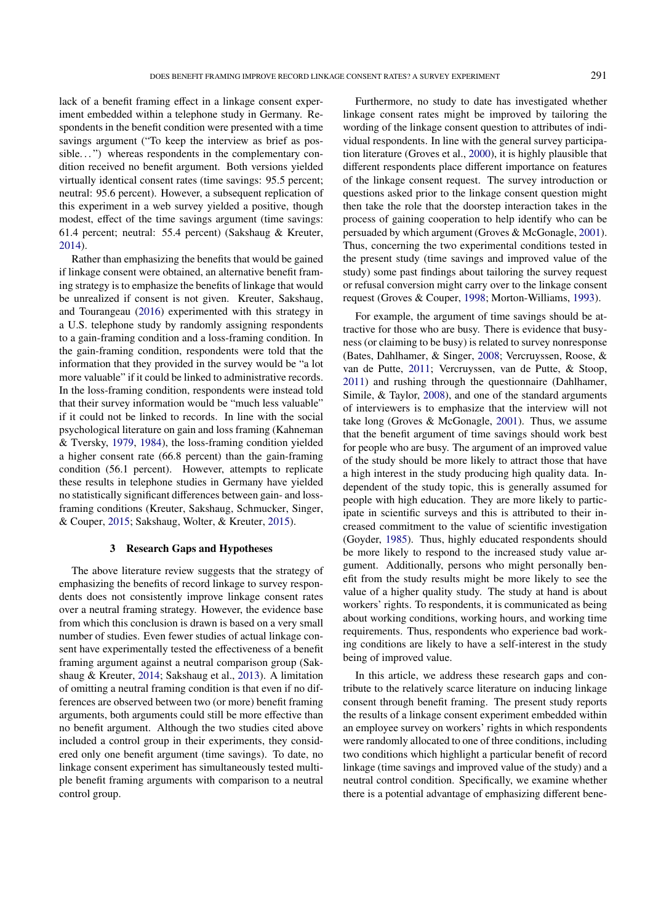lack of a benefit framing effect in a linkage consent experiment embedded within a telephone study in Germany. Respondents in the benefit condition were presented with a time savings argument ("To keep the interview as brief as possible...") whereas respondents in the complementary condition received no benefit argument. Both versions yielded virtually identical consent rates (time savings: 95.5 percent; neutral: 95.6 percent). However, a subsequent replication of this experiment in a web survey yielded a positive, though modest, effect of the time savings argument (time savings: 61.4 percent; neutral: 55.4 percent) (Sakshaug & Kreuter, [2014\)](#page-10-12).

Rather than emphasizing the benefits that would be gained if linkage consent were obtained, an alternative benefit framing strategy is to emphasize the benefits of linkage that would be unrealized if consent is not given. Kreuter, Sakshaug, and Tourangeau [\(2016\)](#page-10-13) experimented with this strategy in a U.S. telephone study by randomly assigning respondents to a gain-framing condition and a loss-framing condition. In the gain-framing condition, respondents were told that the information that they provided in the survey would be "a lot more valuable" if it could be linked to administrative records. In the loss-framing condition, respondents were instead told that their survey information would be "much less valuable" if it could not be linked to records. In line with the social psychological literature on gain and loss framing (Kahneman & Tversky, [1979,](#page-10-14) [1984\)](#page-10-15), the loss-framing condition yielded a higher consent rate (66.8 percent) than the gain-framing condition (56.1 percent). However, attempts to replicate these results in telephone studies in Germany have yielded no statistically significant differences between gain- and lossframing conditions (Kreuter, Sakshaug, Schmucker, Singer, & Couper, [2015;](#page-10-16) Sakshaug, Wolter, & Kreuter, [2015\)](#page-10-17).

### 3 Research Gaps and Hypotheses

The above literature review suggests that the strategy of emphasizing the benefits of record linkage to survey respondents does not consistently improve linkage consent rates over a neutral framing strategy. However, the evidence base from which this conclusion is drawn is based on a very small number of studies. Even fewer studies of actual linkage consent have experimentally tested the effectiveness of a benefit framing argument against a neutral comparison group (Sakshaug & Kreuter, [2014;](#page-10-12) Sakshaug et al., [2013\)](#page-10-11). A limitation of omitting a neutral framing condition is that even if no differences are observed between two (or more) benefit framing arguments, both arguments could still be more effective than no benefit argument. Although the two studies cited above included a control group in their experiments, they considered only one benefit argument (time savings). To date, no linkage consent experiment has simultaneously tested multiple benefit framing arguments with comparison to a neutral control group.

Furthermore, no study to date has investigated whether linkage consent rates might be improved by tailoring the wording of the linkage consent question to attributes of individual respondents. In line with the general survey participation literature (Groves et al., [2000\)](#page-10-9), it is highly plausible that different respondents place different importance on features of the linkage consent request. The survey introduction or questions asked prior to the linkage consent question might then take the role that the doorstep interaction takes in the process of gaining cooperation to help identify who can be persuaded by which argument (Groves & McGonagle, [2001\)](#page-10-18). Thus, concerning the two experimental conditions tested in the present study (time savings and improved value of the study) some past findings about tailoring the survey request or refusal conversion might carry over to the linkage consent request (Groves & Couper, [1998;](#page-10-19) Morton-Williams, [1993\)](#page-10-20).

For example, the argument of time savings should be attractive for those who are busy. There is evidence that busyness (or claiming to be busy) is related to survey nonresponse (Bates, Dahlhamer, & Singer, [2008;](#page-9-5) Vercruyssen, Roose, & van de Putte, [2011;](#page-11-1) Vercruyssen, van de Putte, & Stoop, [2011\)](#page-11-2) and rushing through the questionnaire (Dahlhamer, Simile, & Taylor, [2008\)](#page-9-6), and one of the standard arguments of interviewers is to emphasize that the interview will not take long (Groves & McGonagle, [2001\)](#page-10-18). Thus, we assume that the benefit argument of time savings should work best for people who are busy. The argument of an improved value of the study should be more likely to attract those that have a high interest in the study producing high quality data. Independent of the study topic, this is generally assumed for people with high education. They are more likely to participate in scientific surveys and this is attributed to their increased commitment to the value of scientific investigation (Goyder, [1985\)](#page-10-21). Thus, highly educated respondents should be more likely to respond to the increased study value argument. Additionally, persons who might personally benefit from the study results might be more likely to see the value of a higher quality study. The study at hand is about workers' rights. To respondents, it is communicated as being about working conditions, working hours, and working time requirements. Thus, respondents who experience bad working conditions are likely to have a self-interest in the study being of improved value.

In this article, we address these research gaps and contribute to the relatively scarce literature on inducing linkage consent through benefit framing. The present study reports the results of a linkage consent experiment embedded within an employee survey on workers' rights in which respondents were randomly allocated to one of three conditions, including two conditions which highlight a particular benefit of record linkage (time savings and improved value of the study) and a neutral control condition. Specifically, we examine whether there is a potential advantage of emphasizing different bene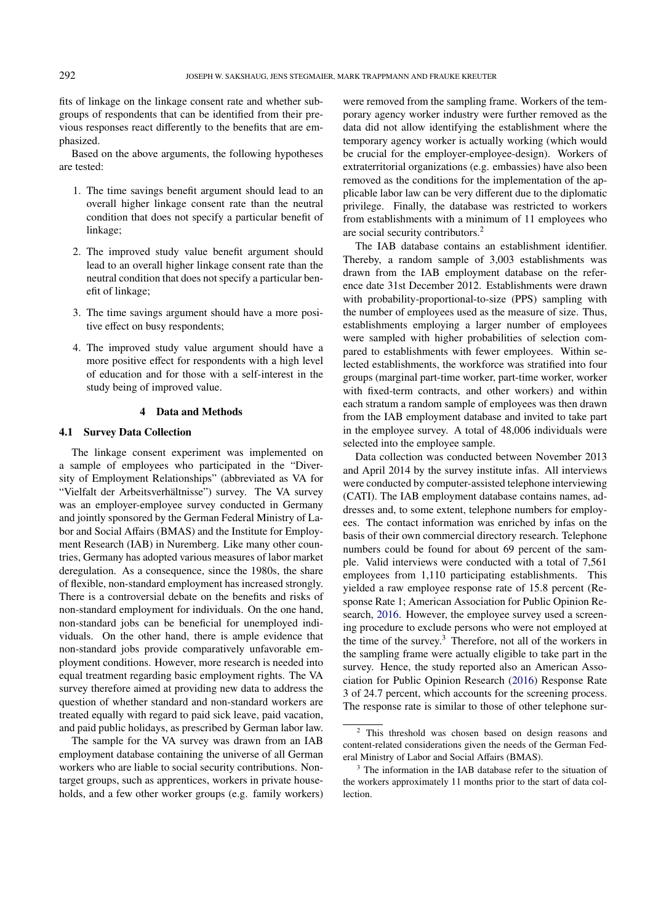fits of linkage on the linkage consent rate and whether subgroups of respondents that can be identified from their previous responses react differently to the benefits that are emphasized.

Based on the above arguments, the following hypotheses are tested:

- 1. The time savings benefit argument should lead to an overall higher linkage consent rate than the neutral condition that does not specify a particular benefit of linkage;
- 2. The improved study value benefit argument should lead to an overall higher linkage consent rate than the neutral condition that does not specify a particular benefit of linkage;
- 3. The time savings argument should have a more positive effect on busy respondents;
- 4. The improved study value argument should have a more positive effect for respondents with a high level of education and for those with a self-interest in the study being of improved value.

### 4 Data and Methods

### 4.1 Survey Data Collection

The linkage consent experiment was implemented on a sample of employees who participated in the "Diversity of Employment Relationships" (abbreviated as VA for "Vielfalt der Arbeitsverhältnisse") survey. The VA survey was an employer-employee survey conducted in Germany and jointly sponsored by the German Federal Ministry of Labor and Social Affairs (BMAS) and the Institute for Employment Research (IAB) in Nuremberg. Like many other countries, Germany has adopted various measures of labor market deregulation. As a consequence, since the 1980s, the share of flexible, non-standard employment has increased strongly. There is a controversial debate on the benefits and risks of non-standard employment for individuals. On the one hand, non-standard jobs can be beneficial for unemployed individuals. On the other hand, there is ample evidence that non-standard jobs provide comparatively unfavorable employment conditions. However, more research is needed into equal treatment regarding basic employment rights. The VA survey therefore aimed at providing new data to address the question of whether standard and non-standard workers are treated equally with regard to paid sick leave, paid vacation, and paid public holidays, as prescribed by German labor law.

The sample for the VA survey was drawn from an IAB employment database containing the universe of all German workers who are liable to social security contributions. Nontarget groups, such as apprentices, workers in private households, and a few other worker groups (e.g. family workers)

were removed from the sampling frame. Workers of the temporary agency worker industry were further removed as the data did not allow identifying the establishment where the temporary agency worker is actually working (which would be crucial for the employer-employee-design). Workers of extraterritorial organizations (e.g. embassies) have also been removed as the conditions for the implementation of the applicable labor law can be very different due to the diplomatic privilege. Finally, the database was restricted to workers from establishments with a minimum of 11 employees who are social security contributors.[2](#page-3-0)

The IAB database contains an establishment identifier. Thereby, a random sample of 3,003 establishments was drawn from the IAB employment database on the reference date 31st December 2012. Establishments were drawn with probability-proportional-to-size (PPS) sampling with the number of employees used as the measure of size. Thus, establishments employing a larger number of employees were sampled with higher probabilities of selection compared to establishments with fewer employees. Within selected establishments, the workforce was stratified into four groups (marginal part-time worker, part-time worker, worker with fixed-term contracts, and other workers) and within each stratum a random sample of employees was then drawn from the IAB employment database and invited to take part in the employee survey. A total of 48,006 individuals were selected into the employee sample.

Data collection was conducted between November 2013 and April 2014 by the survey institute infas. All interviews were conducted by computer-assisted telephone interviewing (CATI). The IAB employment database contains names, addresses and, to some extent, telephone numbers for employees. The contact information was enriched by infas on the basis of their own commercial directory research. Telephone numbers could be found for about 69 percent of the sample. Valid interviews were conducted with a total of 7,561 employees from 1,110 participating establishments. This yielded a raw employee response rate of 15.8 percent (Response Rate 1; American Association for Public Opinion Research, [2016.](#page-9-7) However, the employee survey used a screening procedure to exclude persons who were not employed at the time of the survey.[3](#page-3-1) Therefore, not all of the workers in the sampling frame were actually eligible to take part in the survey. Hence, the study reported also an American Association for Public Opinion Research [\(2016\)](#page-9-7) Response Rate 3 of 24.7 percent, which accounts for the screening process. The response rate is similar to those of other telephone sur-

<span id="page-3-0"></span><sup>2</sup> This threshold was chosen based on design reasons and content-related considerations given the needs of the German Federal Ministry of Labor and Social Affairs (BMAS).

<span id="page-3-1"></span><sup>&</sup>lt;sup>3</sup> The information in the IAB database refer to the situation of the workers approximately 11 months prior to the start of data collection.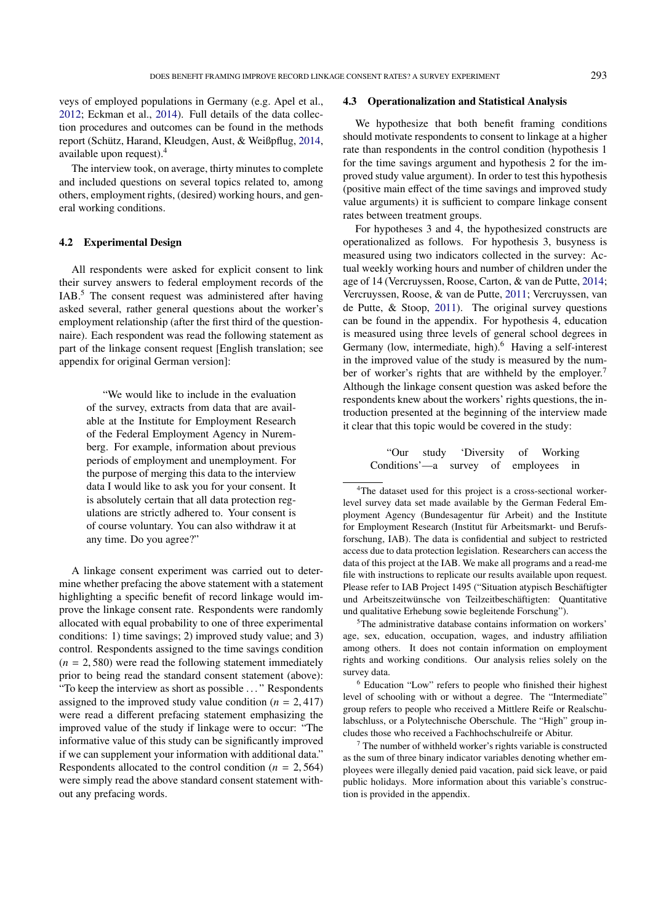veys of employed populations in Germany (e.g. Apel et al., [2012;](#page-9-8) Eckman et al., [2014\)](#page-9-9). Full details of the data collection procedures and outcomes can be found in the methods report (Schütz, Harand, Kleudgen, Aust, & Weißpflug, [2014,](#page-10-22) available upon request).[4](#page-4-0)

The interview took, on average, thirty minutes to complete and included questions on several topics related to, among others, employment rights, (desired) working hours, and general working conditions.

### 4.2 Experimental Design

All respondents were asked for explicit consent to link their survey answers to federal employment records of the IAB.[5](#page-4-1) The consent request was administered after having asked several, rather general questions about the worker's employment relationship (after the first third of the questionnaire). Each respondent was read the following statement as part of the linkage consent request [English translation; see appendix for original German version]:

> "We would like to include in the evaluation of the survey, extracts from data that are available at the Institute for Employment Research of the Federal Employment Agency in Nuremberg. For example, information about previous periods of employment and unemployment. For the purpose of merging this data to the interview data I would like to ask you for your consent. It is absolutely certain that all data protection regulations are strictly adhered to. Your consent is of course voluntary. You can also withdraw it at any time. Do you agree?"

A linkage consent experiment was carried out to determine whether prefacing the above statement with a statement highlighting a specific benefit of record linkage would improve the linkage consent rate. Respondents were randomly allocated with equal probability to one of three experimental conditions: 1) time savings; 2) improved study value; and 3) control. Respondents assigned to the time savings condition  $(n = 2, 580)$  were read the following statement immediately prior to being read the standard consent statement (above): "To keep the interview as short as possible . . . " Respondents assigned to the improved study value condition  $(n = 2, 417)$ were read a different prefacing statement emphasizing the improved value of the study if linkage were to occur: "The informative value of this study can be significantly improved if we can supplement your information with additional data." Respondents allocated to the control condition ( $n = 2,564$ ) were simply read the above standard consent statement without any prefacing words.

### 4.3 Operationalization and Statistical Analysis

We hypothesize that both benefit framing conditions should motivate respondents to consent to linkage at a higher rate than respondents in the control condition (hypothesis 1 for the time savings argument and hypothesis 2 for the improved study value argument). In order to test this hypothesis (positive main effect of the time savings and improved study value arguments) it is sufficient to compare linkage consent rates between treatment groups.

For hypotheses 3 and 4, the hypothesized constructs are operationalized as follows. For hypothesis 3, busyness is measured using two indicators collected in the survey: Actual weekly working hours and number of children under the age of 14 (Vercruyssen, Roose, Carton, & van de Putte, [2014;](#page-11-3) Vercruyssen, Roose, & van de Putte, [2011;](#page-11-1) Vercruyssen, van de Putte, & Stoop, [2011\)](#page-11-2). The original survey questions can be found in the appendix. For hypothesis 4, education is measured using three levels of general school degrees in Germany (low, intermediate, high).<sup>[6](#page-4-2)</sup> Having a self-interest in the improved value of the study is measured by the num-ber of worker's rights that are withheld by the employer.<sup>[7](#page-4-3)</sup> Although the linkage consent question was asked before the respondents knew about the workers' rights questions, the introduction presented at the beginning of the interview made it clear that this topic would be covered in the study:

> "Our study 'Diversity of Working Conditions'—a survey of employees in

<span id="page-4-0"></span><sup>4</sup>The dataset used for this project is a cross-sectional workerlevel survey data set made available by the German Federal Employment Agency (Bundesagentur für Arbeit) and the Institute for Employment Research (Institut für Arbeitsmarkt- und Berufsforschung, IAB). The data is confidential and subject to restricted access due to data protection legislation. Researchers can access the data of this project at the IAB. We make all programs and a read-me file with instructions to replicate our results available upon request. Please refer to IAB Project 1495 ("Situation atypisch Beschäftigter und Arbeitszeitwünsche von Teilzeitbeschäftigten: Quantitative und qualitative Erhebung sowie begleitende Forschung").

<span id="page-4-1"></span><sup>5</sup>The administrative database contains information on workers' age, sex, education, occupation, wages, and industry affiliation among others. It does not contain information on employment rights and working conditions. Our analysis relies solely on the survey data.

<span id="page-4-2"></span><sup>6</sup> Education "Low" refers to people who finished their highest level of schooling with or without a degree. The "Intermediate" group refers to people who received a Mittlere Reife or Realschulabschluss, or a Polytechnische Oberschule. The "High" group includes those who received a Fachhochschulreife or Abitur.

<span id="page-4-3"></span> $7$  The number of withheld worker's rights variable is constructed as the sum of three binary indicator variables denoting whether employees were illegally denied paid vacation, paid sick leave, or paid public holidays. More information about this variable's construction is provided in the appendix.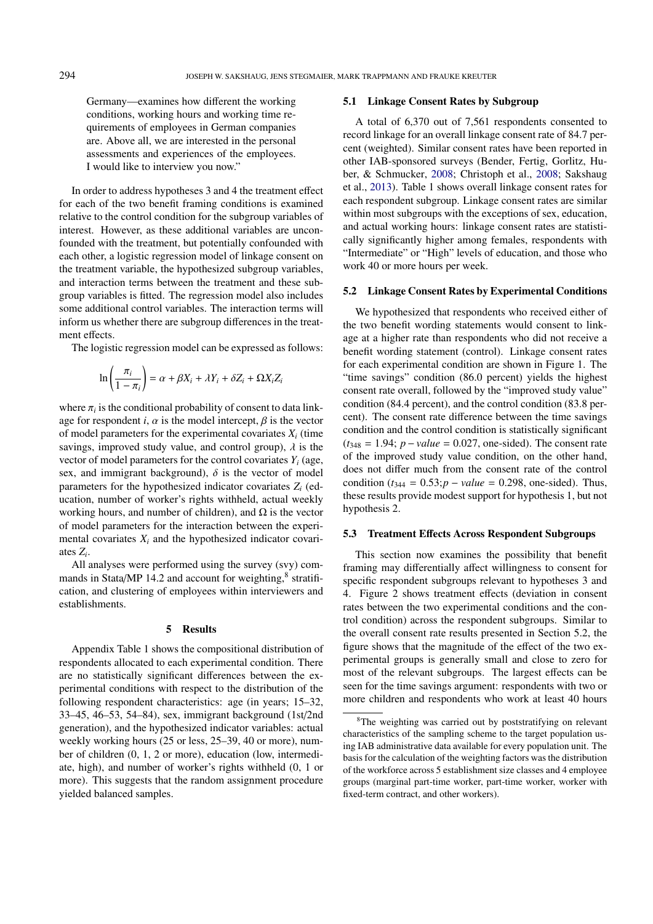Germany—examines how different the working conditions, working hours and working time requirements of employees in German companies are. Above all, we are interested in the personal assessments and experiences of the employees. I would like to interview you now."

In order to address hypotheses 3 and 4 the treatment effect for each of the two benefit framing conditions is examined relative to the control condition for the subgroup variables of interest. However, as these additional variables are unconfounded with the treatment, but potentially confounded with each other, a logistic regression model of linkage consent on the treatment variable, the hypothesized subgroup variables, and interaction terms between the treatment and these subgroup variables is fitted. The regression model also includes some additional control variables. The interaction terms will inform us whether there are subgroup differences in the treatment effects.

The logistic regression model can be expressed as follows:

$$
\ln\left(\frac{\pi_i}{1-\pi_i}\right) = \alpha + \beta X_i + \lambda Y_i + \delta Z_i + \Omega X_i Z_i
$$

where  $\pi_i$  is the conditional probability of consent to data link-<br>age for respondent *i*,  $\alpha$  is the model intercent.  $\beta$  is the vector age for respondent *i*,  $\alpha$  is the model intercept,  $\beta$  is the vector of model parameters for the experimental covariates  $X_i$  (time savings, improved study value, and control group),  $\lambda$  is the vector of model parameters for the control covariates  $Y_i$  (age, sex, and immigrant background),  $\delta$  is the vector of model parameters for the hypothesized indicator covariates *Z<sup>i</sup>* (education, number of worker's rights withheld, actual weekly working hours, and number of children), and  $\Omega$  is the vector of model parameters for the interaction between the experimental covariates *X<sup>i</sup>* and the hypothesized indicator covariates *Z<sup>i</sup>* .

All analyses were performed using the survey (svy) com-mands in Stata/MP 14.2 and account for weighting,<sup>[8](#page-5-0)</sup> stratification, and clustering of employees within interviewers and establishments.

### 5 Results

Appendix Table 1 shows the compositional distribution of respondents allocated to each experimental condition. There are no statistically significant differences between the experimental conditions with respect to the distribution of the following respondent characteristics: age (in years; 15–32, 33–45, 46–53, 54–84), sex, immigrant background (1st/2nd generation), and the hypothesized indicator variables: actual weekly working hours (25 or less, 25–39, 40 or more), number of children (0, 1, 2 or more), education (low, intermediate, high), and number of worker's rights withheld (0, 1 or more). This suggests that the random assignment procedure yielded balanced samples.

### 5.1 Linkage Consent Rates by Subgroup

A total of 6,370 out of 7,561 respondents consented to record linkage for an overall linkage consent rate of 84.7 percent (weighted). Similar consent rates have been reported in other IAB-sponsored surveys (Bender, Fertig, Gorlitz, Huber, & Schmucker, [2008;](#page-9-10) Christoph et al., [2008;](#page-9-11) Sakshaug et al., [2013\)](#page-10-11). Table 1 shows overall linkage consent rates for each respondent subgroup. Linkage consent rates are similar within most subgroups with the exceptions of sex, education, and actual working hours: linkage consent rates are statistically significantly higher among females, respondents with "Intermediate" or "High" levels of education, and those who work 40 or more hours per week.

### 5.2 Linkage Consent Rates by Experimental Conditions

We hypothesized that respondents who received either of the two benefit wording statements would consent to linkage at a higher rate than respondents who did not receive a benefit wording statement (control). Linkage consent rates for each experimental condition are shown in Figure 1. The "time savings" condition (86.0 percent) yields the highest consent rate overall, followed by the "improved study value" condition (84.4 percent), and the control condition (83.8 percent). The consent rate difference between the time savings condition and the control condition is statistically significant  $(t_{348} = 1.94; p-value = 0.027$ , one-sided). The consent rate of the improved study value condition, on the other hand, does not differ much from the consent rate of the control condition ( $t_{344} = 0.53$ ;  $p - value = 0.298$ , one-sided). Thus, these results provide modest support for hypothesis 1, but not hypothesis 2.

### 5.3 Treatment Effects Across Respondent Subgroups

This section now examines the possibility that benefit framing may differentially affect willingness to consent for specific respondent subgroups relevant to hypotheses 3 and 4. Figure 2 shows treatment effects (deviation in consent rates between the two experimental conditions and the control condition) across the respondent subgroups. Similar to the overall consent rate results presented in Section 5.2, the figure shows that the magnitude of the effect of the two experimental groups is generally small and close to zero for most of the relevant subgroups. The largest effects can be seen for the time savings argument: respondents with two or more children and respondents who work at least 40 hours

<span id="page-5-0"></span><sup>8</sup>The weighting was carried out by poststratifying on relevant characteristics of the sampling scheme to the target population using IAB administrative data available for every population unit. The basis for the calculation of the weighting factors was the distribution of the workforce across 5 establishment size classes and 4 employee groups (marginal part-time worker, part-time worker, worker with fixed-term contract, and other workers).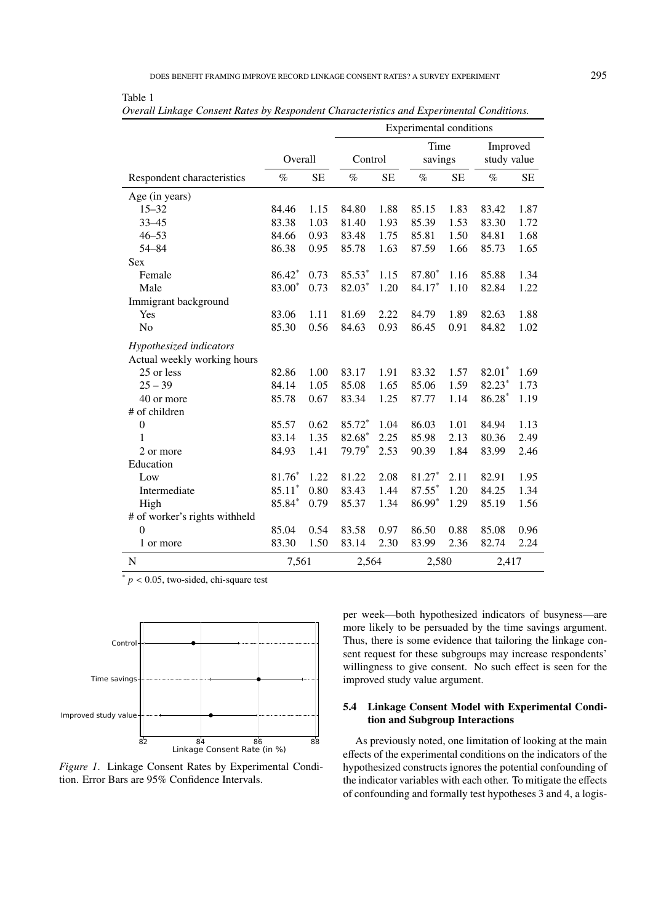|                               |                    |           | Experimental conditions |                 |        |                         |          |           |
|-------------------------------|--------------------|-----------|-------------------------|-----------------|--------|-------------------------|----------|-----------|
|                               | Overall<br>Control |           |                         | Time<br>savings |        | Improved<br>study value |          |           |
| Respondent characteristics    | $\%$               | <b>SE</b> | $\%$                    | <b>SE</b>       | $\%$   | <b>SE</b>               | $\%$     | <b>SE</b> |
| Age (in years)                |                    |           |                         |                 |        |                         |          |           |
| $15 - 32$                     | 84.46              | 1.15      | 84.80                   | 1.88            | 85.15  | 1.83                    | 83.42    | 1.87      |
| $33 - 45$                     | 83.38              | 1.03      | 81.40                   | 1.93            | 85.39  | 1.53                    | 83.30    | 1.72      |
| $46 - 53$                     | 84.66              | 0.93      | 83.48                   | 1.75            | 85.81  | 1.50                    | 84.81    | 1.68      |
| $54 - 84$                     | 86.38              | 0.95      | 85.78                   | 1.63            | 87.59  | 1.66                    | 85.73    | 1.65      |
| Sex                           |                    |           |                         |                 |        |                         |          |           |
| Female                        | 86.42*             | 0.73      | 85.53*                  | 1.15            | 87.80* | 1.16                    | 85.88    | 1.34      |
| Male                          | 83.00*             | 0.73      | 82.03*                  | 1.20            | 84.17* | 1.10                    | 82.84    | 1.22      |
| Immigrant background          |                    |           |                         |                 |        |                         |          |           |
| Yes                           | 83.06              | 1.11      | 81.69                   | 2.22            | 84.79  | 1.89                    | 82.63    | 1.88      |
| N <sub>o</sub>                | 85.30              | 0.56      | 84.63                   | 0.93            | 86.45  | 0.91                    | 84.82    | 1.02      |
| Hypothesized indicators       |                    |           |                         |                 |        |                         |          |           |
| Actual weekly working hours   |                    |           |                         |                 |        |                         |          |           |
| 25 or less                    | 82.86              | 1.00      | 83.17                   | 1.91            | 83.32  | 1.57                    | 82.01*   | 1.69      |
| $25 - 39$                     | 84.14              | 1.05      | 85.08                   | 1.65            | 85.06  | 1.59                    | 82.23*   | 1.73      |
| 40 or more                    | 85.78              | 0.67      | 83.34                   | 1.25            | 87.77  | 1.14                    | $86.28*$ | 1.19      |
| # of children                 |                    |           |                         |                 |        |                         |          |           |
| $\boldsymbol{0}$              | 85.57              | 0.62      | 85.72*                  | 1.04            | 86.03  | 1.01                    | 84.94    | 1.13      |
| 1                             | 83.14              | 1.35      | 82.68*                  | 2.25            | 85.98  | 2.13                    | 80.36    | 2.49      |
| 2 or more                     | 84.93              | 1.41      | 79.79*                  | 2.53            | 90.39  | 1.84                    | 83.99    | 2.46      |
| Education                     |                    |           |                         |                 |        |                         |          |           |
| Low                           | $81.76*$           | 1.22      | 81.22                   | 2.08            | 81.27* | 2.11                    | 82.91    | 1.95      |
| Intermediate                  | $85.11*$           | 0.80      | 83.43                   | 1.44            | 87.55* | 1.20                    | 84.25    | 1.34      |
| High                          | 85.84*             | 0.79      | 85.37                   | 1.34            | 86.99* | 1.29                    | 85.19    | 1.56      |
| # of worker's rights withheld |                    |           |                         |                 |        |                         |          |           |
| $\theta$                      | 85.04              | 0.54      | 83.58                   | 0.97            | 86.50  | 0.88                    | 85.08    | 0.96      |
| 1 or more                     | 83.30              | 1.50      | 83.14                   | 2.30            | 83.99  | 2.36                    | 82.74    | 2.24      |
| N                             | 7,561              |           | 2,564                   |                 | 2,580  |                         | 2,417    |           |

*Overall Linkage Consent Rates by Respondent Characteristics and Experimental Conditions.*

 $p < 0.05$ , two-sided, chi-square test

Table 1



*Figure 1*. Linkage Consent Rates by Experimental Condition. Error Bars are 95% Confidence Intervals.

Control Thus, there is some evidence that tailoring the linkage conper week—both hypothesized indicators of busyness—are more likely to be persuaded by the time savings argument. sent request for these subgroups may increase respondents' willingness to give consent. No such effect is seen for the

# 5.4 Linkage Consent Model with Experimental Condi-

82 84 86 88 As previously noted, one limitation of looking at the main Linkage Consent Rate (in %) effects of the experimental conditions on the indicators of the hypothesized constructs ignores the potential confounding of the indicator variables with each other. To mitigate the effects of confounding and formally test hypotheses 3 and 4, a logis-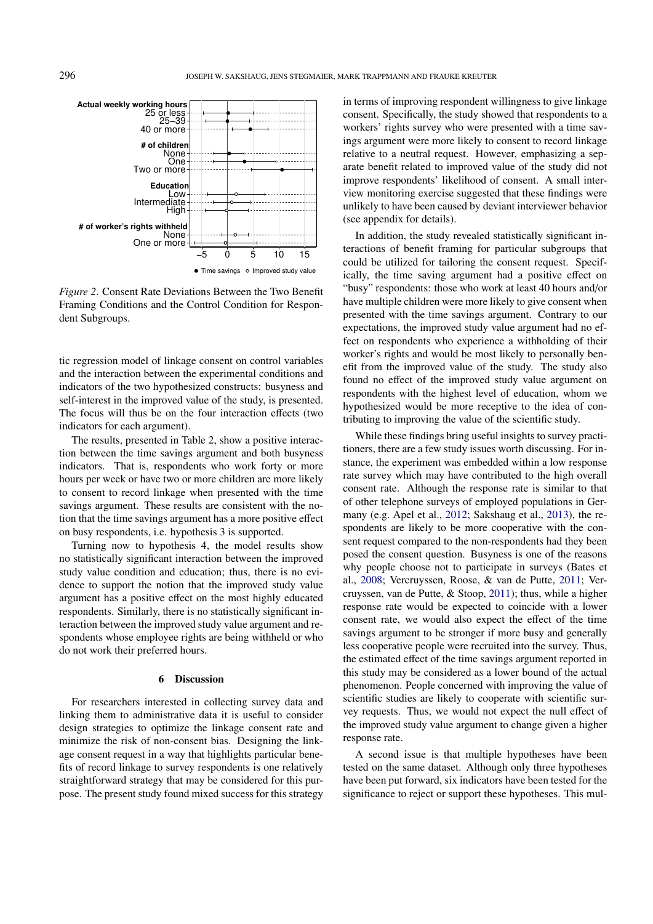

*Figure 2*. Consent Rate Deviations Between the Two Benefit Framing Conditions and the Control Condition for Respondent Subgroups.

tic regression model of linkage consent on control variables and the interaction between the experimental conditions and indicators of the two hypothesized constructs: busyness and self-interest in the improved value of the study, is presented. The focus will thus be on the four interaction effects (two indicators for each argument).

The results, presented in Table 2, show a positive interaction between the time savings argument and both busyness indicators. That is, respondents who work forty or more hours per week or have two or more children are more likely to consent to record linkage when presented with the time savings argument. These results are consistent with the notion that the time savings argument has a more positive effect on busy respondents, i.e. hypothesis 3 is supported.

Turning now to hypothesis 4, the model results show no statistically significant interaction between the improved study value condition and education; thus, there is no evidence to support the notion that the improved study value argument has a positive effect on the most highly educated respondents. Similarly, there is no statistically significant interaction between the improved study value argument and respondents whose employee rights are being withheld or who do not work their preferred hours.

### 6 Discussion

For researchers interested in collecting survey data and linking them to administrative data it is useful to consider design strategies to optimize the linkage consent rate and minimize the risk of non-consent bias. Designing the linkage consent request in a way that highlights particular benefits of record linkage to survey respondents is one relatively straightforward strategy that may be considered for this purpose. The present study found mixed success for this strategy

in terms of improving respondent willingness to give linkage consent. Specifically, the study showed that respondents to a workers' rights survey who were presented with a time savings argument were more likely to consent to record linkage relative to a neutral request. However, emphasizing a separate benefit related to improved value of the study did not improve respondents' likelihood of consent. A small interview monitoring exercise suggested that these findings were unlikely to have been caused by deviant interviewer behavior (see appendix for details).

In addition, the study revealed statistically significant interactions of benefit framing for particular subgroups that could be utilized for tailoring the consent request. Specifically, the time saving argument had a positive effect on "busy" respondents: those who work at least 40 hours and/or have multiple children were more likely to give consent when presented with the time savings argument. Contrary to our expectations, the improved study value argument had no effect on respondents who experience a withholding of their worker's rights and would be most likely to personally benefit from the improved value of the study. The study also found no effect of the improved study value argument on respondents with the highest level of education, whom we hypothesized would be more receptive to the idea of contributing to improving the value of the scientific study.

While these findings bring useful insights to survey practitioners, there are a few study issues worth discussing. For instance, the experiment was embedded within a low response rate survey which may have contributed to the high overall consent rate. Although the response rate is similar to that of other telephone surveys of employed populations in Germany (e.g. Apel et al., [2012;](#page-9-8) Sakshaug et al., [2013\)](#page-10-11), the respondents are likely to be more cooperative with the consent request compared to the non-respondents had they been posed the consent question. Busyness is one of the reasons why people choose not to participate in surveys (Bates et al., [2008;](#page-9-5) Vercruyssen, Roose, & van de Putte, [2011;](#page-11-1) Vercruyssen, van de Putte, & Stoop, [2011\)](#page-11-2); thus, while a higher response rate would be expected to coincide with a lower consent rate, we would also expect the effect of the time savings argument to be stronger if more busy and generally less cooperative people were recruited into the survey. Thus, the estimated effect of the time savings argument reported in this study may be considered as a lower bound of the actual phenomenon. People concerned with improving the value of scientific studies are likely to cooperate with scientific survey requests. Thus, we would not expect the null effect of the improved study value argument to change given a higher response rate.

A second issue is that multiple hypotheses have been tested on the same dataset. Although only three hypotheses have been put forward, six indicators have been tested for the significance to reject or support these hypotheses. This mul-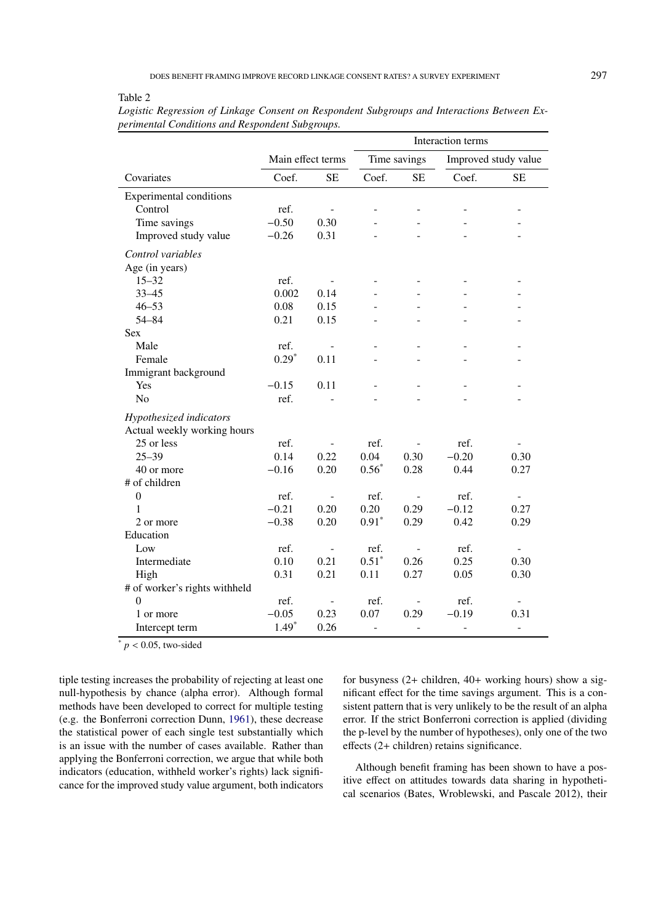| able |  |
|------|--|
|------|--|

|                                |                   |                          | Interaction terms |                              |                      |                          |  |
|--------------------------------|-------------------|--------------------------|-------------------|------------------------------|----------------------|--------------------------|--|
|                                | Main effect terms |                          | Time savings      |                              | Improved study value |                          |  |
| Covariates                     | Coef.             | <b>SE</b>                | Coef.             | <b>SE</b>                    | Coef.                | <b>SE</b>                |  |
| <b>Experimental conditions</b> |                   |                          |                   |                              |                      |                          |  |
| Control                        | ref.              |                          |                   |                              |                      |                          |  |
| Time savings                   | $-0.50$           | 0.30                     |                   |                              |                      |                          |  |
| Improved study value           | $-0.26$           | 0.31                     |                   |                              |                      |                          |  |
| Control variables              |                   |                          |                   |                              |                      |                          |  |
| Age (in years)                 |                   |                          |                   |                              |                      |                          |  |
| $15 - 32$                      | ref.              |                          |                   |                              |                      |                          |  |
| $33 - 45$                      | 0.002             | 0.14                     |                   |                              |                      |                          |  |
| $46 - 53$                      | 0.08              | 0.15                     |                   |                              |                      |                          |  |
| $54 - 84$                      | 0.21              | 0.15                     |                   |                              |                      |                          |  |
| <b>Sex</b>                     |                   |                          |                   |                              |                      |                          |  |
| Male                           | ref.              | $\overline{\phantom{a}}$ |                   |                              |                      |                          |  |
| Female                         | $0.29*$           | 0.11                     |                   |                              |                      |                          |  |
| Immigrant background           |                   |                          |                   |                              |                      |                          |  |
| Yes                            | $-0.15$           | 0.11                     |                   |                              |                      |                          |  |
| N <sub>o</sub>                 | ref.              |                          |                   |                              |                      |                          |  |
| Hypothesized indicators        |                   |                          |                   |                              |                      |                          |  |
| Actual weekly working hours    |                   |                          |                   |                              |                      |                          |  |
| 25 or less                     | ref.              |                          | ref.              |                              | ref.                 |                          |  |
| $25 - 39$                      | 0.14              | 0.22                     | 0.04              | 0.30                         | $-0.20$              | 0.30                     |  |
| 40 or more                     | $-0.16$           | 0.20                     | $0.56*$           | 0.28                         | 0.44                 | 0.27                     |  |
| # of children                  |                   |                          |                   |                              |                      |                          |  |
| $\theta$                       | ref.              | $\overline{\phantom{a}}$ | ref.              | $\overline{\phantom{a}}$     | ref.                 | $\overline{\phantom{a}}$ |  |
| 1                              | $-0.21$           | 0.20                     | 0.20              | 0.29                         | $-0.12$              | 0.27                     |  |
| 2 or more                      | $-0.38$           | 0.20                     | $0.91*$           | 0.29                         | 0.42                 | 0.29                     |  |
| Education                      |                   |                          |                   |                              |                      |                          |  |
| Low                            | ref.              |                          | ref.              |                              | ref.                 |                          |  |
| Intermediate                   | 0.10              | 0.21                     | $0.51*$           | 0.26                         | 0.25                 | 0.30                     |  |
| High                           | 0.31              | 0.21                     | 0.11              | 0.27                         | 0.05                 | 0.30                     |  |
| # of worker's rights withheld  |                   |                          |                   |                              |                      |                          |  |
| $\theta$                       | ref.              |                          | ref.              | $\qquad \qquad \blacksquare$ | ref.                 |                          |  |
| 1 or more                      | $-0.05$           | 0.23                     | 0.07              | 0.29                         | $-0.19$              | 0.31                     |  |
| Intercept term                 | $1.49*$           | 0.26                     | L.                | $\overline{a}$               | $\overline{a}$       | $\overline{a}$           |  |

*Logistic Regression of Linkage Consent on Respondent Subgroups and Interactions Between Experimental Conditions and Respondent Subgroups.*

 $\frac{1}{p}$  < 0.05, two-sided

tiple testing increases the probability of rejecting at least one null-hypothesis by chance (alpha error). Although formal methods have been developed to correct for multiple testing (e.g. the Bonferroni correction Dunn, [1961\)](#page-9-12), these decrease the statistical power of each single test substantially which is an issue with the number of cases available. Rather than applying the Bonferroni correction, we argue that while both indicators (education, withheld worker's rights) lack significance for the improved study value argument, both indicators for busyness (2+ children, 40+ working hours) show a significant effect for the time savings argument. This is a consistent pattern that is very unlikely to be the result of an alpha error. If the strict Bonferroni correction is applied (dividing the p-level by the number of hypotheses), only one of the two effects (2+ children) retains significance.

Although benefit framing has been shown to have a positive effect on attitudes towards data sharing in hypothetical scenarios (Bates, Wroblewski, and Pascale 2012), their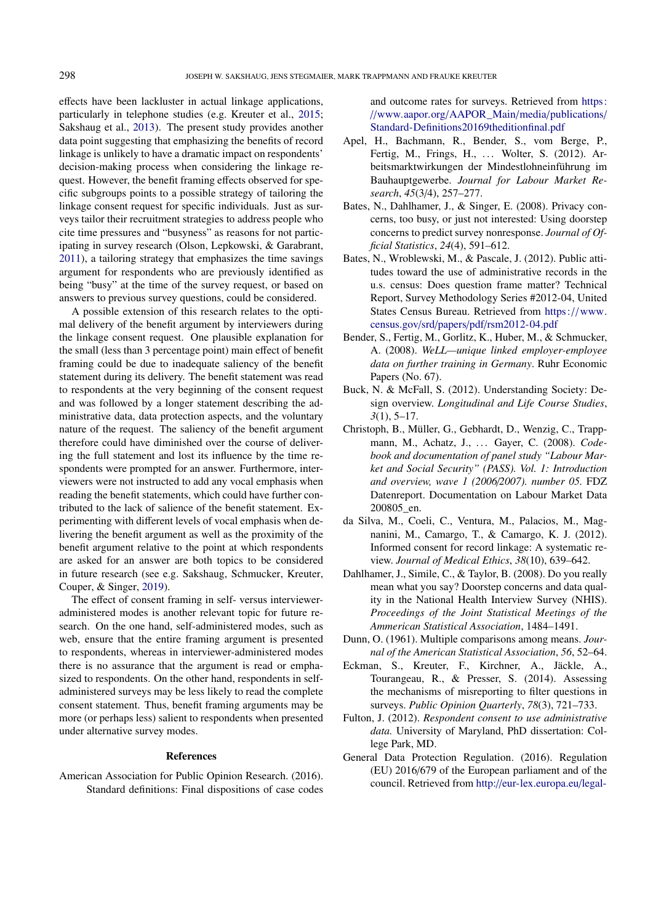effects have been lackluster in actual linkage applications, particularly in telephone studies (e.g. Kreuter et al., [2015;](#page-10-16) Sakshaug et al., [2013\)](#page-10-11). The present study provides another data point suggesting that emphasizing the benefits of record linkage is unlikely to have a dramatic impact on respondents' decision-making process when considering the linkage request. However, the benefit framing effects observed for specific subgroups points to a possible strategy of tailoring the linkage consent request for specific individuals. Just as surveys tailor their recruitment strategies to address people who cite time pressures and "busyness" as reasons for not participating in survey research (Olson, Lepkowski, & Garabrant, [2011\)](#page-10-23), a tailoring strategy that emphasizes the time savings argument for respondents who are previously identified as being "busy" at the time of the survey request, or based on answers to previous survey questions, could be considered.

A possible extension of this research relates to the optimal delivery of the benefit argument by interviewers during the linkage consent request. One plausible explanation for the small (less than 3 percentage point) main effect of benefit framing could be due to inadequate saliency of the benefit statement during its delivery. The benefit statement was read to respondents at the very beginning of the consent request and was followed by a longer statement describing the administrative data, data protection aspects, and the voluntary nature of the request. The saliency of the benefit argument therefore could have diminished over the course of delivering the full statement and lost its influence by the time respondents were prompted for an answer. Furthermore, interviewers were not instructed to add any vocal emphasis when reading the benefit statements, which could have further contributed to the lack of salience of the benefit statement. Experimenting with different levels of vocal emphasis when delivering the benefit argument as well as the proximity of the benefit argument relative to the point at which respondents are asked for an answer are both topics to be considered in future research (see e.g. Sakshaug, Schmucker, Kreuter, Couper, & Singer, [2019\)](#page-10-24).

The effect of consent framing in self- versus intervieweradministered modes is another relevant topic for future research. On the one hand, self-administered modes, such as web, ensure that the entire framing argument is presented to respondents, whereas in interviewer-administered modes there is no assurance that the argument is read or emphasized to respondents. On the other hand, respondents in selfadministered surveys may be less likely to read the complete consent statement. Thus, benefit framing arguments may be more (or perhaps less) salient to respondents when presented under alternative survey modes.

#### References

<span id="page-9-7"></span>American Association for Public Opinion Research. (2016). Standard definitions: Final dispositions of case codes

and outcome rates for surveys. Retrieved from [https:](https://www.aapor.org/AAPOR_Main/media/publications/Standard-Definitions20169theditionfinal.pdf) //[www.aapor.org](https://www.aapor.org/AAPOR_Main/media/publications/Standard-Definitions20169theditionfinal.pdf)/AAPOR\_Main/media/publications/ [Standard-Definitions20169theditionfinal.pdf](https://www.aapor.org/AAPOR_Main/media/publications/Standard-Definitions20169theditionfinal.pdf)

- <span id="page-9-8"></span>Apel, H., Bachmann, R., Bender, S., vom Berge, P., Fertig, M., Frings, H., ... Wolter, S. (2012). Arbeitsmarktwirkungen der Mindestlohneinführung im Bauhauptgewerbe. *Journal for Labour Market Research*, *45*(3/4), 257–277.
- <span id="page-9-5"></span>Bates, N., Dahlhamer, J., & Singer, E. (2008). Privacy concerns, too busy, or just not interested: Using doorstep concerns to predict survey nonresponse. *Journal of Official Statistics*, *24*(4), 591–612.
- <span id="page-9-4"></span>Bates, N., Wroblewski, M., & Pascale, J. (2012). Public attitudes toward the use of administrative records in the u.s. census: Does question frame matter? Technical Report, Survey Methodology Series #2012-04, United States Census Bureau. Retrieved from https://[www.](https://www.census.gov/srd/papers/pdf/rsm2012-04.pdf) census.gov/srd/papers/pdf/[rsm2012-04.pdf](https://www.census.gov/srd/papers/pdf/rsm2012-04.pdf)
- <span id="page-9-10"></span>Bender, S., Fertig, M., Gorlitz, K., Huber, M., & Schmucker, A. (2008). *WeLL—unique linked employer-employee data on further training in Germany*. Ruhr Economic Papers (No. 67).
- <span id="page-9-0"></span>Buck, N. & McFall, S. (2012). Understanding Society: Design overview. *Longitudinal and Life Course Studies*, *3*(1), 5–17.
- <span id="page-9-11"></span>Christoph, B., Müller, G., Gebhardt, D., Wenzig, C., Trappmann, M., Achatz, J., ... Gayer, C. (2008). *Codebook and documentation of panel study "Labour Market and Social Security" (PASS). Vol. 1: Introduction and overview, wave 1 (2006*/*2007). number 05.* FDZ Datenreport. Documentation on Labour Market Data 200805\_en.
- <span id="page-9-2"></span>da Silva, M., Coeli, C., Ventura, M., Palacios, M., Magnanini, M., Camargo, T., & Camargo, K. J. (2012). Informed consent for record linkage: A systematic review. *Journal of Medical Ethics*, *38*(10), 639–642.
- <span id="page-9-6"></span>Dahlhamer, J., Simile, C., & Taylor, B. (2008). Do you really mean what you say? Doorstep concerns and data quality in the National Health Interview Survey (NHIS). *Proceedings of the Joint Statistical Meetings of the Ammerican Statistical Association*, 1484–1491.
- <span id="page-9-12"></span>Dunn, O. (1961). Multiple comparisons among means. *Journal of the American Statistical Association*, *56*, 52–64.
- <span id="page-9-9"></span>Eckman, S., Kreuter, F., Kirchner, A., Jäckle, A., Tourangeau, R., & Presser, S. (2014). Assessing the mechanisms of misreporting to filter questions in surveys. *Public Opinion Quarterly*, *78*(3), 721–733.
- <span id="page-9-3"></span>Fulton, J. (2012). *Respondent consent to use administrative data.* University of Maryland, PhD dissertation: College Park, MD.
- <span id="page-9-1"></span>General Data Protection Regulation. (2016). Regulation (EU) 2016/679 of the European parliament and of the council. Retrieved from http://[eur-lex.europa.eu](http://eur-lex.europa.eu/legal-content/EN/TXT/PDF/?uri=CELEX:32016R0679%5C&from=en)/legal-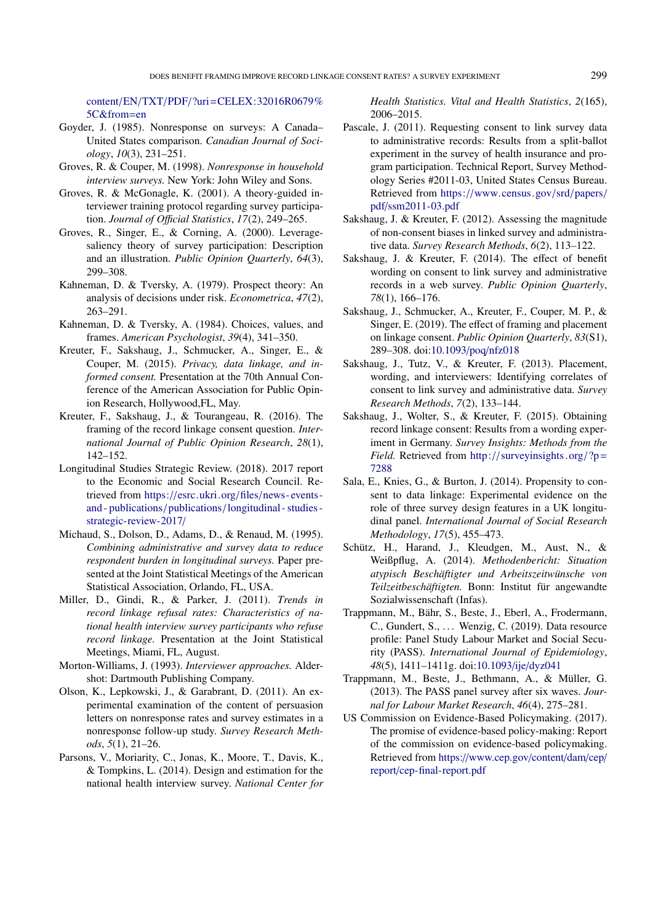content/EN/TXT/PDF/?uri=[CELEX:32016R0679%](http://eur-lex.europa.eu/legal-content/EN/TXT/PDF/?uri=CELEX:32016R0679%5C&from=en) [5C&from](http://eur-lex.europa.eu/legal-content/EN/TXT/PDF/?uri=CELEX:32016R0679%5C&from=en)=en

- <span id="page-10-21"></span>Goyder, J. (1985). Nonresponse on surveys: A Canada– United States comparison. *Canadian Journal of Sociology*, *10*(3), 231–251.
- <span id="page-10-19"></span>Groves, R. & Couper, M. (1998). *Nonresponse in household interview surveys.* New York: John Wiley and Sons.
- <span id="page-10-18"></span>Groves, R. & McGonagle, K. (2001). A theory-guided interviewer training protocol regarding survey participation. *Journal of O*ffi*cial Statistics*, *17*(2), 249–265.
- <span id="page-10-9"></span>Groves, R., Singer, E., & Corning, A. (2000). Leveragesaliency theory of survey participation: Description and an illustration. *Public Opinion Quarterly*, *64*(3), 299–308.
- <span id="page-10-14"></span>Kahneman, D. & Tversky, A. (1979). Prospect theory: An analysis of decisions under risk. *Econometrica*, *47*(2), 263–291.
- <span id="page-10-15"></span>Kahneman, D. & Tversky, A. (1984). Choices, values, and frames. *American Psychologist*, *39*(4), 341–350.
- <span id="page-10-16"></span>Kreuter, F., Sakshaug, J., Schmucker, A., Singer, E., & Couper, M. (2015). *Privacy, data linkage, and informed consent.* Presentation at the 70th Annual Conference of the American Association for Public Opinion Research, Hollywood,FL, May.
- <span id="page-10-13"></span>Kreuter, F., Sakshaug, J., & Tourangeau, R. (2016). The framing of the record linkage consent question. *International Journal of Public Opinion Research*, *28*(1), 142–152.
- <span id="page-10-4"></span>Longitudinal Studies Strategic Review. (2018). 2017 report to the Economic and Social Research Council. Retrieved from https://esrc.ukri.org/files/[news- events](https://esrc.ukri.org/files/news-events-and-publications/publications/longitudinal-studies-strategic-review-2017/)and - publications/ publications/[longitudinal - studies](https://esrc.ukri.org/files/news-events-and-publications/publications/longitudinal-studies-strategic-review-2017/)  [strategic-review-2017](https://esrc.ukri.org/files/news-events-and-publications/publications/longitudinal-studies-strategic-review-2017/)/
- <span id="page-10-5"></span>Michaud, S., Dolson, D., Adams, D., & Renaud, M. (1995). *Combining administrative and survey data to reduce respondent burden in longitudinal surveys.* Paper presented at the Joint Statistical Meetings of the American Statistical Association, Orlando, FL, USA.
- <span id="page-10-8"></span>Miller, D., Gindi, R., & Parker, J. (2011). *Trends in record linkage refusal rates: Characteristics of national health interview survey participants who refuse record linkage.* Presentation at the Joint Statistical Meetings, Miami, FL, August.
- <span id="page-10-20"></span>Morton-Williams, J. (1993). *Interviewer approaches.* Aldershot: Dartmouth Publishing Company.
- <span id="page-10-23"></span>Olson, K., Lepkowski, J., & Garabrant, D. (2011). An experimental examination of the content of persuasion letters on nonresponse rates and survey estimates in a nonresponse follow-up study. *Survey Research Methods*, *5*(1), 21–26.
- <span id="page-10-0"></span>Parsons, V., Moriarity, C., Jonas, K., Moore, T., Davis, K., & Tompkins, L. (2014). Design and estimation for the national health interview survey. *National Center for*

*Health Statistics. Vital and Health Statistics*, *2*(165), 2006–2015.

- <span id="page-10-10"></span>Pascale, J. (2011). Requesting consent to link survey data to administrative records: Results from a split-ballot experiment in the survey of health insurance and program participation. Technical Report, Survey Methodology Series #2011-03, United States Census Bureau. Retrieved from https://[www.census.gov](https://www.census.gov/srd/papers/pdf/ssm2011-03.pdf)/srd/papers/ pdf/[ssm2011-03.pdf](https://www.census.gov/srd/papers/pdf/ssm2011-03.pdf)
- <span id="page-10-6"></span>Sakshaug, J. & Kreuter, F. (2012). Assessing the magnitude of non-consent biases in linked survey and administrative data. *Survey Research Methods*, *6*(2), 113–122.
- <span id="page-10-12"></span>Sakshaug, J. & Kreuter, F. (2014). The effect of benefit wording on consent to link survey and administrative records in a web survey. *Public Opinion Quarterly*, *78*(1), 166–176.
- <span id="page-10-24"></span>Sakshaug, J., Schmucker, A., Kreuter, F., Couper, M. P., & Singer, E. (2019). The effect of framing and placement on linkage consent. *Public Opinion Quarterly*, *83*(S1), 289–308. doi[:10.1093](https://dx.doi.org/10.1093/poq/nfz018)/poq/nfz018
- <span id="page-10-11"></span>Sakshaug, J., Tutz, V., & Kreuter, F. (2013). Placement, wording, and interviewers: Identifying correlates of consent to link survey and administrative data. *Survey Research Methods*, *7*(2), 133–144.
- <span id="page-10-17"></span>Sakshaug, J., Wolter, S., & Kreuter, F. (2015). Obtaining record linkage consent: Results from a wording experiment in Germany. *Survey Insights: Methods from the Field.* Retrieved from http://surveyinsights.org/?p= [7288](http://surveyinsights.org/?p=7288)
- <span id="page-10-7"></span>Sala, E., Knies, G., & Burton, J. (2014). Propensity to consent to data linkage: Experimental evidence on the role of three survey design features in a UK longitudinal panel. *International Journal of Social Research Methodology*, *17*(5), 455–473.
- <span id="page-10-22"></span>Schütz, H., Harand, J., Kleudgen, M., Aust, N., & Weißpflug, A. (2014). *Methodenbericht: Situation atypisch Beschäftigter und Arbeitszeitwünsche von Teilzeitbeschäftigten.* Bonn: Institut für angewandte Sozialwissenschaft (Infas).
- <span id="page-10-1"></span>Trappmann, M., Bähr, S., Beste, J., Eberl, A., Frodermann, C., Gundert, S., ... Wenzig, C. (2019). Data resource profile: Panel Study Labour Market and Social Security (PASS). *International Journal of Epidemiology*, *48*(5), 1411–1411g. doi[:10.1093](https://dx.doi.org/10.1093/ije/dyz041)/ije/dyz041
- <span id="page-10-2"></span>Trappmann, M., Beste, J., Bethmann, A., & Müller, G. (2013). The PASS panel survey after six waves. *Journal for Labour Market Research*, *46*(4), 275–281.
- <span id="page-10-3"></span>US Commission on Evidence-Based Policymaking. (2017). The promise of evidence-based policy-making: Report of the commission on evidence-based policymaking. Retrieved from https://[www.cep.gov](https://www.cep.gov/content/dam/cep/report/cep-final-report.pdf)/content/dam/cep/ report/[cep-final-report.pdf](https://www.cep.gov/content/dam/cep/report/cep-final-report.pdf)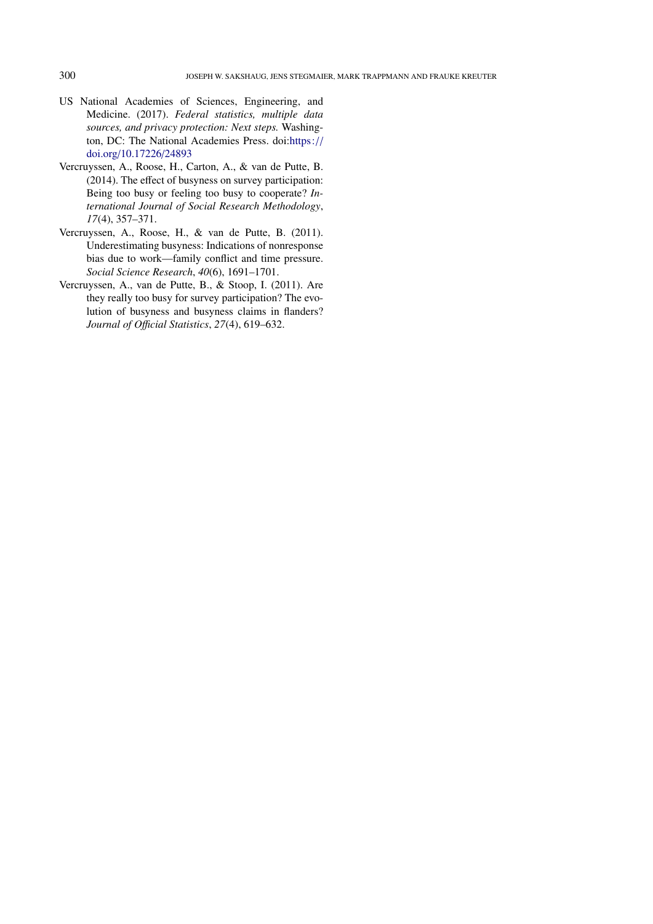- <span id="page-11-0"></span>US National Academies of Sciences, Engineering, and Medicine. (2017). *Federal statistics, multiple data sources, and privacy protection: Next steps.* Washington, DC: The National Academies Press. doi[:https:](https://dx.doi.org/https://doi.org/10.17226/24893)// doi.org/[10.17226](https://dx.doi.org/https://doi.org/10.17226/24893)/24893
- <span id="page-11-3"></span>Vercruyssen, A., Roose, H., Carton, A., & van de Putte, B. (2014). The effect of busyness on survey participation: Being too busy or feeling too busy to cooperate? *International Journal of Social Research Methodology*, *17*(4), 357–371.
- <span id="page-11-1"></span>Vercruyssen, A., Roose, H., & van de Putte, B. (2011). Underestimating busyness: Indications of nonresponse bias due to work—family conflict and time pressure. *Social Science Research*, *40*(6), 1691–1701.
- <span id="page-11-2"></span>Vercruyssen, A., van de Putte, B., & Stoop, I. (2011). Are they really too busy for survey participation? The evolution of busyness and busyness claims in flanders? *Journal of O*ffi*cial Statistics*, *27*(4), 619–632.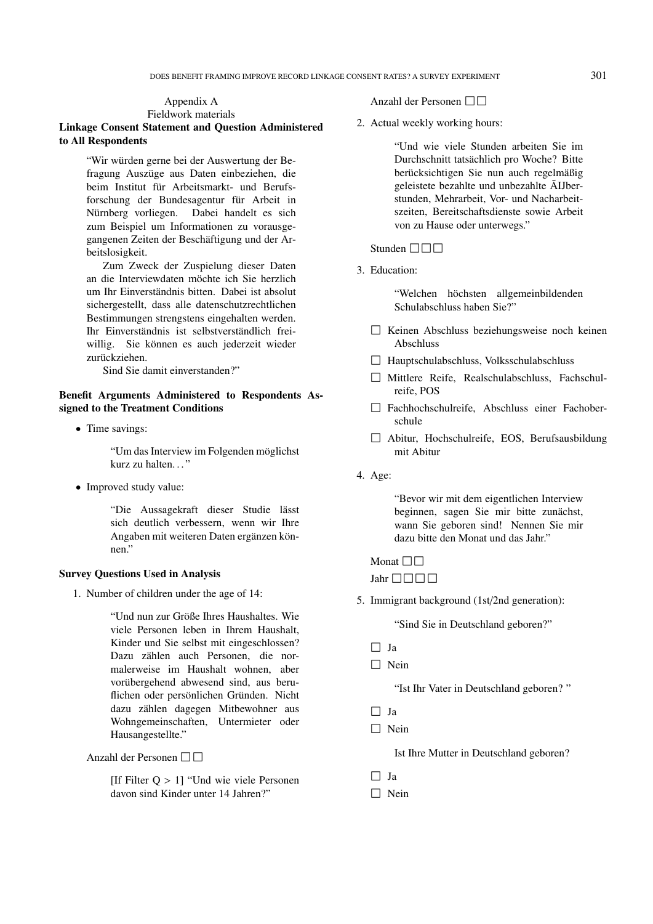DOES BENEFIT FRAMING IMPROVE RECORD LINKAGE CONSENT RATES? A SURVEY EXPERIMENT 301

### Appendix A Fieldwork materials

Linkage Consent Statement and Question Administered to All Respondents

> "Wir würden gerne bei der Auswertung der Befragung Auszüge aus Daten einbeziehen, die beim Institut für Arbeitsmarkt- und Berufsforschung der Bundesagentur für Arbeit in Nürnberg vorliegen. Dabei handelt es sich zum Beispiel um Informationen zu vorausgegangenen Zeiten der Beschäftigung und der Arbeitslosigkeit.

> Zum Zweck der Zuspielung dieser Daten an die Interviewdaten möchte ich Sie herzlich um Ihr Einverständnis bitten. Dabei ist absolut sichergestellt, dass alle datenschutzrechtlichen Bestimmungen strengstens eingehalten werden. Ihr Einverständnis ist selbstverständlich freiwillig. Sie können es auch jederzeit wieder zurückziehen.

Sind Sie damit einverstanden?"

# Benefit Arguments Administered to Respondents Assigned to the Treatment Conditions

• Time savings:

"Um das Interview im Folgenden möglichst kurz zu halten..."

• Improved study value:

"Die Aussagekraft dieser Studie lässt sich deutlich verbessern, wenn wir Ihre Angaben mit weiteren Daten ergänzen können"

## Survey Questions Used in Analysis

1. Number of children under the age of 14:

"Und nun zur Größe Ihres Haushaltes. Wie viele Personen leben in Ihrem Haushalt, Kinder und Sie selbst mit eingeschlossen? Dazu zählen auch Personen, die normalerweise im Haushalt wohnen, aber vorübergehend abwesend sind, aus beruflichen oder persönlichen Gründen. Nicht dazu zählen dagegen Mitbewohner aus Wohngemeinschaften, Untermieter oder Hausangestellte."

Anzahl der Personen  $\square \square$ 

[If Filter Q > 1] "Und wie viele Personen davon sind Kinder unter 14 Jahren?"

Anzahl der Personen  $\square \square$ 

2. Actual weekly working hours:

"Und wie viele Stunden arbeiten Sie im Durchschnitt tatsächlich pro Woche? Bitte berücksichtigen Sie nun auch regelmäßig geleistete bezahlte und unbezahlte ÃIJberstunden, Mehrarbeit, Vor- und Nacharbeitszeiten, Bereitschaftsdienste sowie Arbeit von zu Hause oder unterwegs."

### Stunden  $\square \square \square$

3. Education:

"Welchen höchsten allgemeinbildenden Schulabschluss haben Sie?"

- 2 Keinen Abschluss beziehungsweise noch keinen Abschluss
- $\Box$  Hauptschulabschluss, Volksschulabschluss
- 2 Mittlere Reife, Realschulabschluss, Fachschulreife, POS
- 2 Fachhochschulreife, Abschluss einer Fachoberschule
- 2 Abitur, Hochschulreife, EOS, Berufsausbildung mit Abitur
- 4. Age:

"Bevor wir mit dem eigentlichen Interview beginnen, sagen Sie mir bitte zunächst, wann Sie geboren sind! Nennen Sie mir dazu bitte den Monat und das Jahr."

# Monat  $\Box \Box$

Jahr  $\Box$  $\Box$  $\Box$ 

5. Immigrant background (1st/2nd generation):

"Sind Sie in Deutschland geboren?"

- $\Box$  Ja
- $\Box$  Nein

"Ist Ihr Vater in Deutschland geboren? "

- $\Box$  Ja
- $\Box$  Nein

Ist Ihre Mutter in Deutschland geboren?

- $\Box$  Ja
- $\Box$  Nein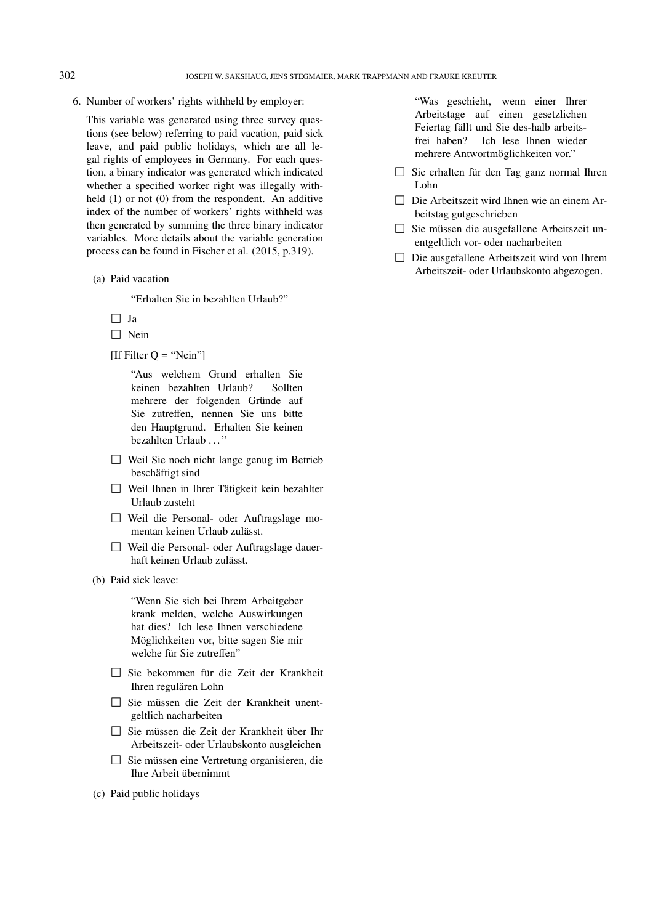6. Number of workers' rights withheld by employer:

This variable was generated using three survey questions (see below) referring to paid vacation, paid sick leave, and paid public holidays, which are all legal rights of employees in Germany. For each question, a binary indicator was generated which indicated whether a specified worker right was illegally withheld (1) or not (0) from the respondent. An additive index of the number of workers' rights withheld was then generated by summing the three binary indicator variables. More details about the variable generation process can be found in Fischer et al. (2015, p.319).

(a) Paid vacation

"Erhalten Sie in bezahlten Urlaub?"

- $\Box$  Ja
- $\Box$  Nein
- [If Filter  $Q = "Nein"$ ]

"Aus welchem Grund erhalten Sie keinen bezahlten Urlaub? Sollten mehrere der folgenden Gründe auf Sie zutreffen, nennen Sie uns bitte den Hauptgrund. Erhalten Sie keinen bezahlten Urlaub ..."

- $\Box$  Weil Sie noch nicht lange genug im Betrieb beschäftigt sind
- $\Box$  Weil Ihnen in Ihrer Tätigkeit kein bezahlter Urlaub zusteht
- 2 Weil die Personal- oder Auftragslage momentan keinen Urlaub zulässt.
- 2 Weil die Personal- oder Auftragslage dauerhaft keinen Urlaub zulässt.
- (b) Paid sick leave:

"Wenn Sie sich bei Ihrem Arbeitgeber krank melden, welche Auswirkungen hat dies? Ich lese Ihnen verschiedene Möglichkeiten vor, bitte sagen Sie mir welche für Sie zutreffen"

- 2 Sie bekommen für die Zeit der Krankheit Ihren regulären Lohn
- 2 Sie müssen die Zeit der Krankheit unentgeltlich nacharbeiten
- 2 Sie müssen die Zeit der Krankheit über Ihr Arbeitszeit- oder Urlaubskonto ausgleichen
- 2 Sie müssen eine Vertretung organisieren, die Ihre Arbeit übernimmt
- (c) Paid public holidays

"Was geschieht, wenn einer Ihrer Arbeitstage auf einen gesetzlichen Feiertag fällt und Sie des-halb arbeitsfrei haben? Ich lese Ihnen wieder mehrere Antwortmöglichkeiten vor."

- $\Box$  Sie erhalten für den Tag ganz normal Ihren Lohn
- $\Box$  Die Arbeitszeit wird Ihnen wie an einem Arbeitstag gutgeschrieben
- 2 Sie müssen die ausgefallene Arbeitszeit unentgeltlich vor- oder nacharbeiten
- $\Box$  Die ausgefallene Arbeitszeit wird von Ihrem Arbeitszeit- oder Urlaubskonto abgezogen.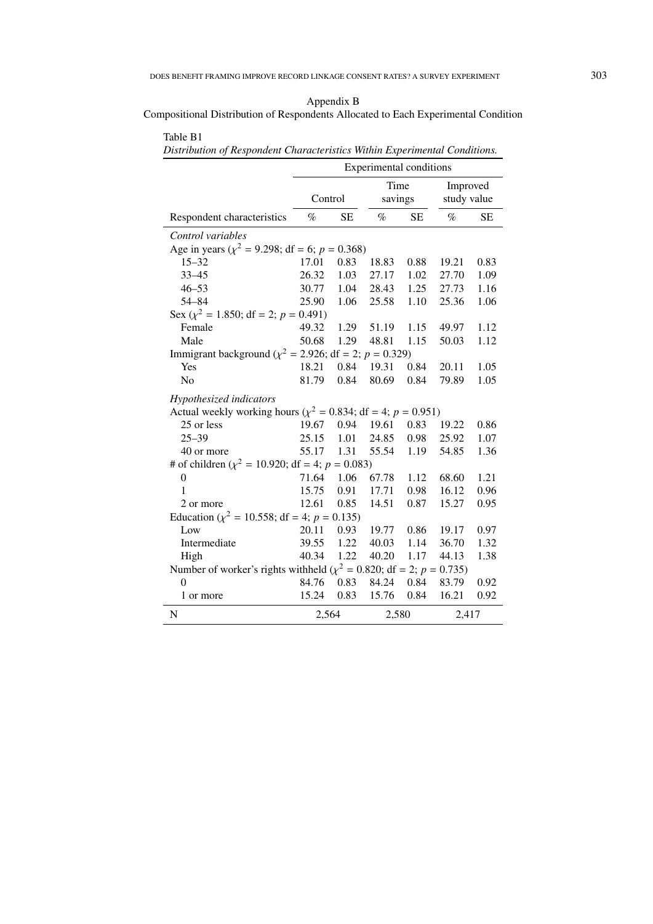Compositional Distribution of Respondents Allocated to Each Experimental Condition

|                                                                           | різнівшіон ој кезронцені Снинисієнзися тинін Ехрентенни Сонциюня.<br>Experimental conditions |           |                 |           |                         |           |  |
|---------------------------------------------------------------------------|----------------------------------------------------------------------------------------------|-----------|-----------------|-----------|-------------------------|-----------|--|
|                                                                           | Control                                                                                      |           | Time<br>savings |           | Improved<br>study value |           |  |
| Respondent characteristics                                                | $\%$                                                                                         | <b>SE</b> | $\%$            | <b>SE</b> | $\%$                    | <b>SE</b> |  |
| Control variables                                                         |                                                                                              |           |                 |           |                         |           |  |
| Age in years ( $\chi^2$ = 9.298; df = 6; p = 0.368)                       |                                                                                              |           |                 |           |                         |           |  |
| $15 - 32$                                                                 | 17.01                                                                                        | 0.83      | 18.83           | 0.88      | 19.21                   | 0.83      |  |
| $33 - 45$                                                                 | 26.32                                                                                        | 1.03      | 27.17           | 1.02      | 27.70                   | 1.09      |  |
| $46 - 53$                                                                 | 30.77                                                                                        |           | 1.04 28.43      | 1.25      | 27.73                   | 1.16      |  |
| $54 - 84$                                                                 | 25.90                                                                                        | 1.06      | 25.58           | 1.10      | 25.36                   | 1.06      |  |
| Sex ( $\chi^2$ = 1.850; df = 2; p = 0.491)                                |                                                                                              |           |                 |           |                         |           |  |
| Female                                                                    | 49.32                                                                                        | 1.29      | 51.19           | 1.15      | 49.97                   | 1.12      |  |
| Male                                                                      | 50.68                                                                                        | 1.29      | 48.81           | 1.15      | 50.03                   | 1.12      |  |
| Immigrant background ( $\chi^2$ = 2.926; df = 2; p = 0.329)               |                                                                                              |           |                 |           |                         |           |  |
| Yes                                                                       | 18.21                                                                                        | 0.84      | 19.31           | 0.84      | 20.11                   | 1.05      |  |
| N <sub>o</sub>                                                            | 81.79                                                                                        | 0.84      | 80.69           | 0.84      | 79.89                   | 1.05      |  |
| Hypothesized indicators                                                   |                                                                                              |           |                 |           |                         |           |  |
| Actual weekly working hours ( $\chi^2 = 0.834$ ; df = 4; p = 0.951)       |                                                                                              |           |                 |           |                         |           |  |
| 25 or less                                                                | 19.67                                                                                        | 0.94      | 19.61           | 0.83      | 19.22                   | 0.86      |  |
| $25 - 39$                                                                 | 25.15                                                                                        | 1.01      | 24.85           | 0.98      | 25.92                   | 1.07      |  |
| 40 or more                                                                | 55.17                                                                                        | 1.31      | 55.54           | 1.19      | 54.85                   | 1.36      |  |
| # of children ( $\chi^2$ = 10.920; df = 4; p = 0.083)                     |                                                                                              |           |                 |           |                         |           |  |
| 0                                                                         | 71.64 1.06                                                                                   |           | 67.78           | 1.12      | 68.60                   | 1.21      |  |
| $\mathbf{1}$                                                              | 15.75                                                                                        | 0.91      | 17.71           | 0.98      | 16.12                   | 0.96      |  |
| 2 or more                                                                 | 12.61                                                                                        | 0.85      | 14.51           | 0.87      | 15.27                   | 0.95      |  |
| Education ( $\chi^2$ = 10.558; df = 4; p = 0.135)                         |                                                                                              |           |                 |           |                         |           |  |
| Low                                                                       | 20.11                                                                                        | 0.93      | 19.77           | 0.86      | 19.17                   | 0.97      |  |
| Intermediate                                                              | 39.55                                                                                        | 1.22      | 40.03           | 1.14      | 36.70                   | 1.32      |  |
| High                                                                      | 40.34                                                                                        | 1.22      | 40.20           | 1.17      | 44.13                   | 1.38      |  |
| Number of worker's rights withheld ( $\chi^2$ = 0.820; df = 2; p = 0.735) |                                                                                              |           |                 |           |                         |           |  |
| $\theta$                                                                  | 84.76                                                                                        | 0.83      | 84.24           | 0.84      | 83.79                   | 0.92      |  |
| 1 or more                                                                 | 15.24                                                                                        | 0.83      | 15.76           | 0.84      | 16.21                   | 0.92      |  |
| $\mathbf N$                                                               | 2,564                                                                                        |           |                 | 2,580     |                         | 2,417     |  |

Table B1 *Distribution of Respondent Characteristics Within Experimental Conditions.*